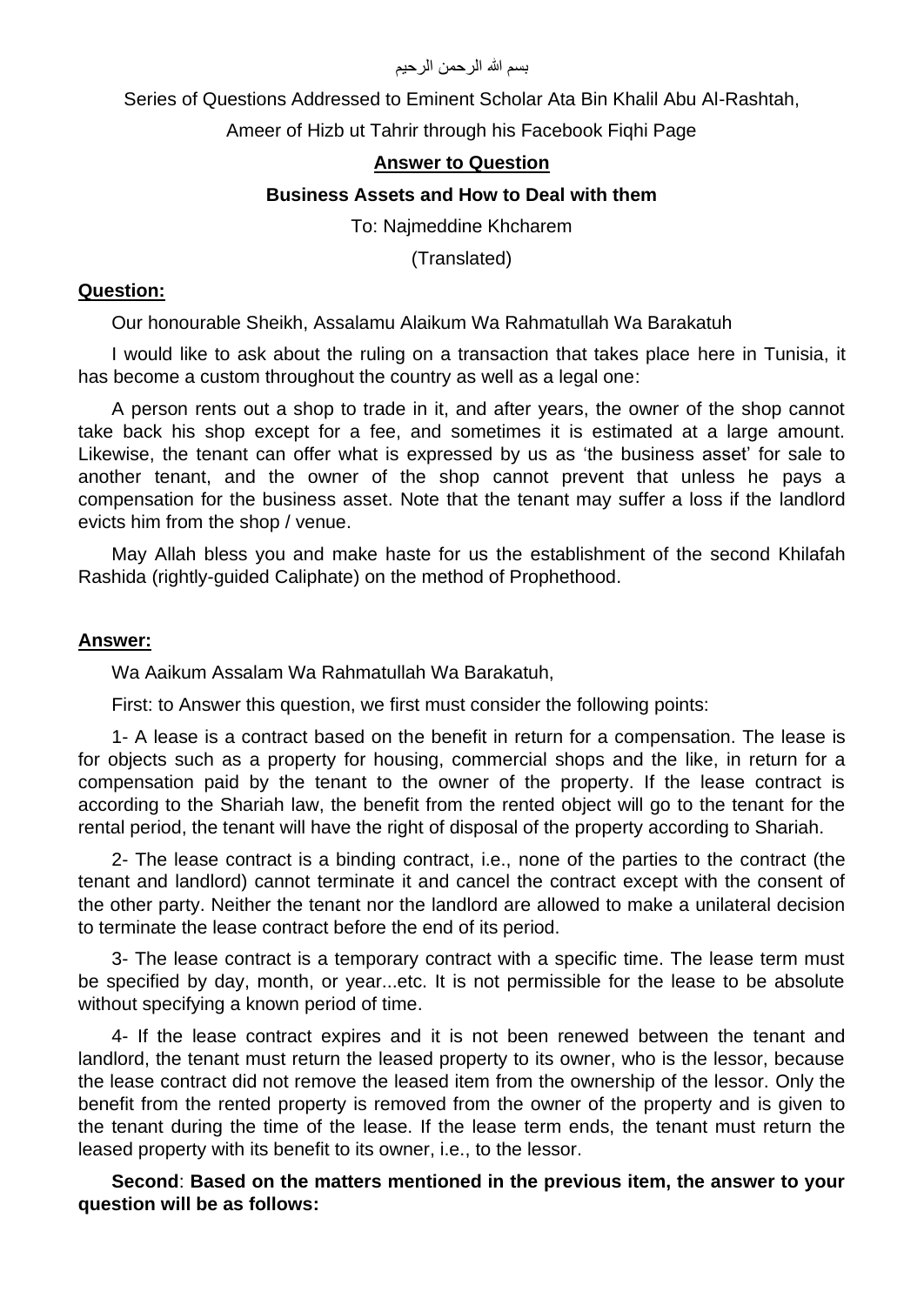#### بسم الله الرحمن الرحيم

Series of Questions Addressed to Eminent Scholar Ata Bin Khalil Abu Al-Rashtah,

Ameer of Hizb ut Tahrir through his Facebook Fiqhi Page

# **Answer to Question**

### **Business Assets and How to Deal with them**

To: Najmeddine Khcharem

(Translated)

#### **Question:**

Our honourable Sheikh, Assalamu Alaikum Wa Rahmatullah Wa Barakatuh

I would like to ask about the ruling on a transaction that takes place here in Tunisia, it has become a custom throughout the country as well as a legal one:

A person rents out a shop to trade in it, and after years, the owner of the shop cannot take back his shop except for a fee, and sometimes it is estimated at a large amount. Likewise, the tenant can offer what is expressed by us as 'the business asset' for sale to another tenant, and the owner of the shop cannot prevent that unless he pays a compensation for the business asset. Note that the tenant may suffer a loss if the landlord evicts him from the shop / venue.

May Allah bless you and make haste for us the establishment of the second Khilafah Rashida (rightly-guided Caliphate) on the method of Prophethood.

#### **Answer:**

Wa Aaikum Assalam Wa Rahmatullah Wa Barakatuh,

First: to Answer this question, we first must consider the following points:

1- A lease is a contract based on the benefit in return for a compensation. The lease is for objects such as a property for housing, commercial shops and the like, in return for a compensation paid by the tenant to the owner of the property. If the lease contract is according to the Shariah law, the benefit from the rented object will go to the tenant for the rental period, the tenant will have the right of disposal of the property according to Shariah.

2- The lease contract is a binding contract, i.e., none of the parties to the contract (the tenant and landlord) cannot terminate it and cancel the contract except with the consent of the other party. Neither the tenant nor the landlord are allowed to make a unilateral decision to terminate the lease contract before the end of its period.

3- The lease contract is a temporary contract with a specific time. The lease term must be specified by day, month, or year...etc. It is not permissible for the lease to be absolute without specifying a known period of time.

4- If the lease contract expires and it is not been renewed between the tenant and landlord, the tenant must return the leased property to its owner, who is the lessor, because the lease contract did not remove the leased item from the ownership of the lessor. Only the benefit from the rented property is removed from the owner of the property and is given to the tenant during the time of the lease. If the lease term ends, the tenant must return the leased property with its benefit to its owner, i.e., to the lessor.

**Second**: **Based on the matters mentioned in the previous item, the answer to your question will be as follows:**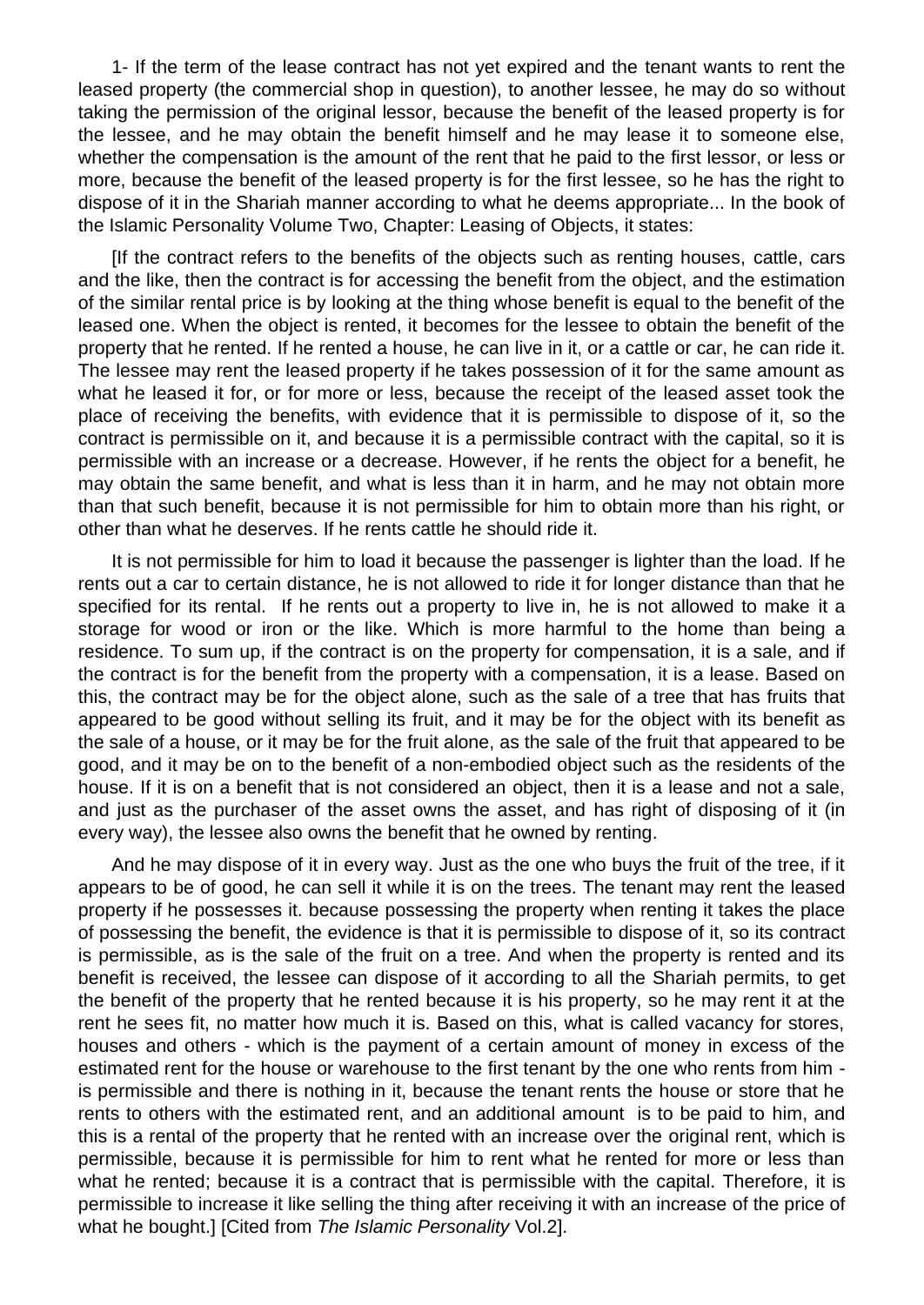1- If the term of the lease contract has not yet expired and the tenant wants to rent the leased property (the commercial shop in question), to another lessee, he may do so without taking the permission of the original lessor, because the benefit of the leased property is for the lessee, and he may obtain the benefit himself and he may lease it to someone else, whether the compensation is the amount of the rent that he paid to the first lessor, or less or more, because the benefit of the leased property is for the first lessee, so he has the right to dispose of it in the Shariah manner according to what he deems appropriate... In the book of the Islamic Personality Volume Two, Chapter: Leasing of Objects, it states:

[If the contract refers to the benefits of the objects such as renting houses, cattle, cars and the like, then the contract is for accessing the benefit from the object, and the estimation of the similar rental price is by looking at the thing whose benefit is equal to the benefit of the leased one. When the object is rented, it becomes for the lessee to obtain the benefit of the property that he rented. If he rented a house, he can live in it, or a cattle or car, he can ride it. The lessee may rent the leased property if he takes possession of it for the same amount as what he leased it for, or for more or less, because the receipt of the leased asset took the place of receiving the benefits, with evidence that it is permissible to dispose of it, so the contract is permissible on it, and because it is a permissible contract with the capital, so it is permissible with an increase or a decrease. However, if he rents the object for a benefit, he may obtain the same benefit, and what is less than it in harm, and he may not obtain more than that such benefit, because it is not permissible for him to obtain more than his right, or other than what he deserves. If he rents cattle he should ride it.

It is not permissible for him to load it because the passenger is lighter than the load. If he rents out a car to certain distance, he is not allowed to ride it for longer distance than that he specified for its rental. If he rents out a property to live in, he is not allowed to make it a storage for wood or iron or the like. Which is more harmful to the home than being a residence. To sum up, if the contract is on the property for compensation, it is a sale, and if the contract is for the benefit from the property with a compensation, it is a lease. Based on this, the contract may be for the object alone, such as the sale of a tree that has fruits that appeared to be good without selling its fruit, and it may be for the object with its benefit as the sale of a house, or it may be for the fruit alone, as the sale of the fruit that appeared to be good, and it may be on to the benefit of a non-embodied object such as the residents of the house. If it is on a benefit that is not considered an object, then it is a lease and not a sale, and just as the purchaser of the asset owns the asset, and has right of disposing of it (in every way), the lessee also owns the benefit that he owned by renting.

And he may dispose of it in every way. Just as the one who buys the fruit of the tree, if it appears to be of good, he can sell it while it is on the trees. The tenant may rent the leased property if he possesses it. because possessing the property when renting it takes the place of possessing the benefit, the evidence is that it is permissible to dispose of it, so its contract is permissible, as is the sale of the fruit on a tree. And when the property is rented and its benefit is received, the lessee can dispose of it according to all the Shariah permits, to get the benefit of the property that he rented because it is his property, so he may rent it at the rent he sees fit, no matter how much it is. Based on this, what is called vacancy for stores, houses and others - which is the payment of a certain amount of money in excess of the estimated rent for the house or warehouse to the first tenant by the one who rents from him is permissible and there is nothing in it, because the tenant rents the house or store that he rents to others with the estimated rent, and an additional amount is to be paid to him, and this is a rental of the property that he rented with an increase over the original rent, which is permissible, because it is permissible for him to rent what he rented for more or less than what he rented; because it is a contract that is permissible with the capital. Therefore, it is permissible to increase it like selling the thing after receiving it with an increase of the price of what he bought.] [Cited from *The Islamic Personality* Vol.2].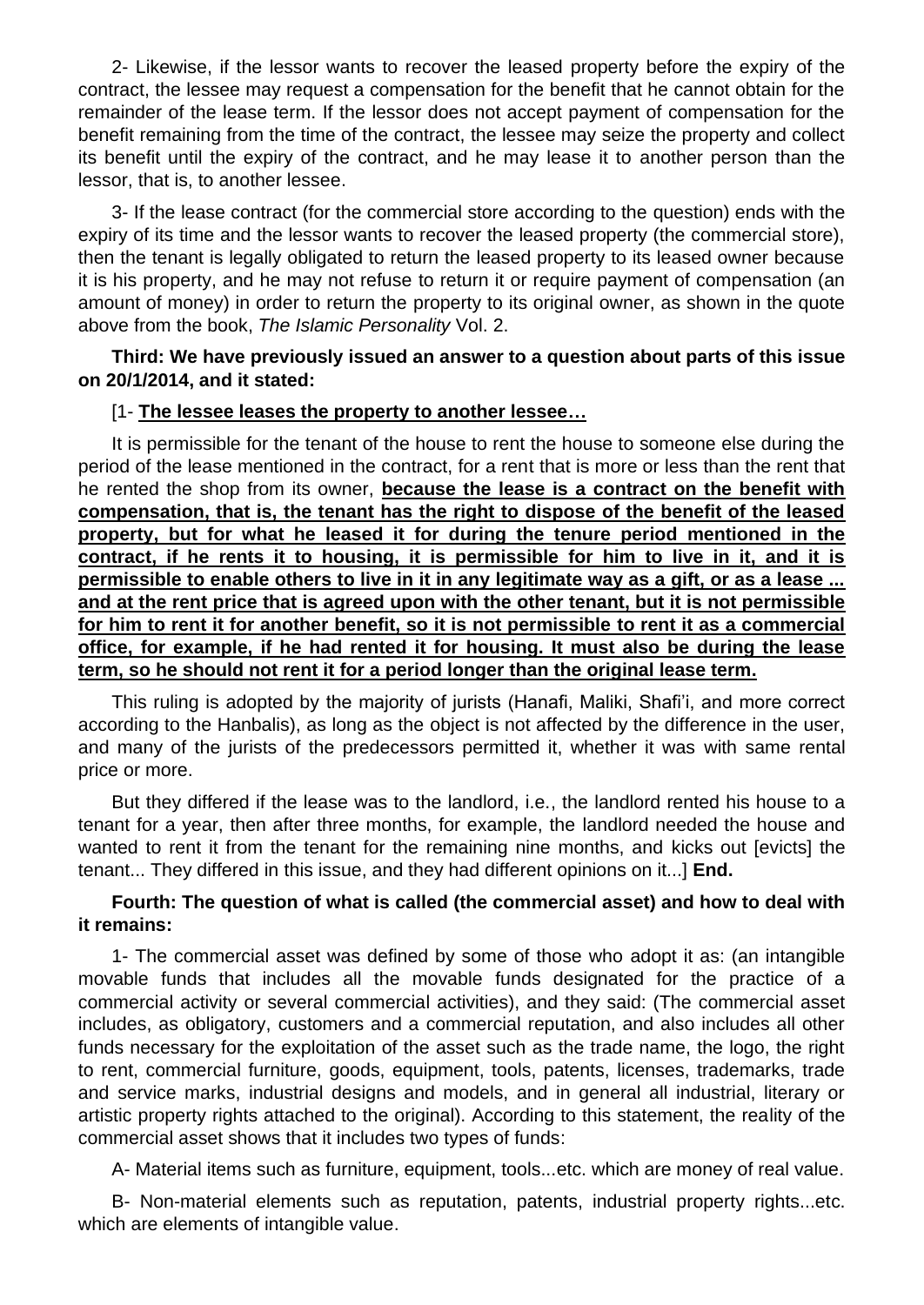2- Likewise, if the lessor wants to recover the leased property before the expiry of the contract, the lessee may request a compensation for the benefit that he cannot obtain for the remainder of the lease term. If the lessor does not accept payment of compensation for the benefit remaining from the time of the contract, the lessee may seize the property and collect its benefit until the expiry of the contract, and he may lease it to another person than the lessor, that is, to another lessee.

3- If the lease contract (for the commercial store according to the question) ends with the expiry of its time and the lessor wants to recover the leased property (the commercial store), then the tenant is legally obligated to return the leased property to its leased owner because it is his property, and he may not refuse to return it or require payment of compensation (an amount of money) in order to return the property to its original owner, as shown in the quote above from the book, *The Islamic Personality* Vol. 2.

**Third: We have previously issued an answer to a question about parts of this issue on 20/1/2014, and it stated:**

#### [1- **The lessee leases the property to another lessee…**

It is permissible for the tenant of the house to rent the house to someone else during the period of the lease mentioned in the contract, for a rent that is more or less than the rent that he rented the shop from its owner, **because the lease is a contract on the benefit with compensation, that is, the tenant has the right to dispose of the benefit of the leased property, but for what he leased it for during the tenure period mentioned in the contract, if he rents it to housing, it is permissible for him to live in it, and it is permissible to enable others to live in it in any legitimate way as a gift, or as a lease ... and at the rent price that is agreed upon with the other tenant, but it is not permissible for him to rent it for another benefit, so it is not permissible to rent it as a commercial office, for example, if he had rented it for housing. It must also be during the lease term, so he should not rent it for a period longer than the original lease term.**

This ruling is adopted by the majority of jurists (Hanafi, Maliki, Shafi'i, and more correct according to the Hanbalis), as long as the object is not affected by the difference in the user, and many of the jurists of the predecessors permitted it, whether it was with same rental price or more.

But they differed if the lease was to the landlord, i.e., the landlord rented his house to a tenant for a year, then after three months, for example, the landlord needed the house and wanted to rent it from the tenant for the remaining nine months, and kicks out [evicts] the tenant... They differed in this issue, and they had different opinions on it...] **End.**

# **Fourth: The question of what is called (the commercial asset) and how to deal with it remains:**

1- The commercial asset was defined by some of those who adopt it as: (an intangible movable funds that includes all the movable funds designated for the practice of a commercial activity or several commercial activities), and they said: (The commercial asset includes, as obligatory, customers and a commercial reputation, and also includes all other funds necessary for the exploitation of the asset such as the trade name, the logo, the right to rent, commercial furniture, goods, equipment, tools, patents, licenses, trademarks, trade and service marks, industrial designs and models, and in general all industrial, literary or artistic property rights attached to the original). According to this statement, the reality of the commercial asset shows that it includes two types of funds:

A- Material items such as furniture, equipment, tools...etc. which are money of real value.

B- Non-material elements such as reputation, patents, industrial property rights...etc. which are elements of intangible value.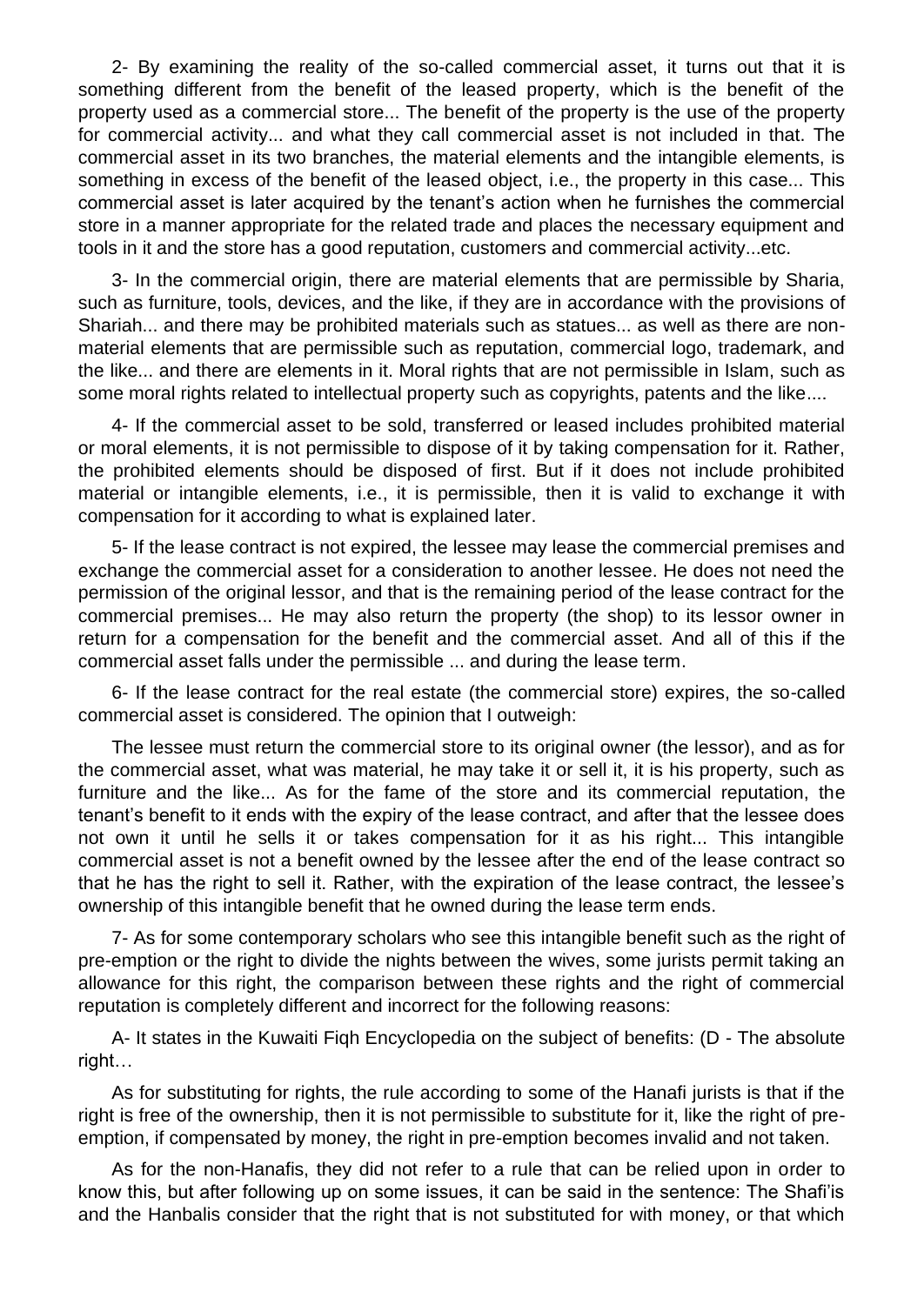2- By examining the reality of the so-called commercial asset, it turns out that it is something different from the benefit of the leased property, which is the benefit of the property used as a commercial store... The benefit of the property is the use of the property for commercial activity... and what they call commercial asset is not included in that. The commercial asset in its two branches, the material elements and the intangible elements, is something in excess of the benefit of the leased object, i.e., the property in this case... This commercial asset is later acquired by the tenant's action when he furnishes the commercial store in a manner appropriate for the related trade and places the necessary equipment and tools in it and the store has a good reputation, customers and commercial activity...etc.

3- In the commercial origin, there are material elements that are permissible by Sharia, such as furniture, tools, devices, and the like, if they are in accordance with the provisions of Shariah... and there may be prohibited materials such as statues... as well as there are nonmaterial elements that are permissible such as reputation, commercial logo, trademark, and the like... and there are elements in it. Moral rights that are not permissible in Islam, such as some moral rights related to intellectual property such as copyrights, patents and the like....

4- If the commercial asset to be sold, transferred or leased includes prohibited material or moral elements, it is not permissible to dispose of it by taking compensation for it. Rather, the prohibited elements should be disposed of first. But if it does not include prohibited material or intangible elements, i.e., it is permissible, then it is valid to exchange it with compensation for it according to what is explained later.

5- If the lease contract is not expired, the lessee may lease the commercial premises and exchange the commercial asset for a consideration to another lessee. He does not need the permission of the original lessor, and that is the remaining period of the lease contract for the commercial premises... He may also return the property (the shop) to its lessor owner in return for a compensation for the benefit and the commercial asset. And all of this if the commercial asset falls under the permissible ... and during the lease term.

6- If the lease contract for the real estate (the commercial store) expires, the so-called commercial asset is considered. The opinion that I outweigh:

The lessee must return the commercial store to its original owner (the lessor), and as for the commercial asset, what was material, he may take it or sell it, it is his property, such as furniture and the like... As for the fame of the store and its commercial reputation, the tenant's benefit to it ends with the expiry of the lease contract, and after that the lessee does not own it until he sells it or takes compensation for it as his right... This intangible commercial asset is not a benefit owned by the lessee after the end of the lease contract so that he has the right to sell it. Rather, with the expiration of the lease contract, the lessee's ownership of this intangible benefit that he owned during the lease term ends.

7- As for some contemporary scholars who see this intangible benefit such as the right of pre-emption or the right to divide the nights between the wives, some jurists permit taking an allowance for this right, the comparison between these rights and the right of commercial reputation is completely different and incorrect for the following reasons:

A- It states in the Kuwaiti Fiqh Encyclopedia on the subject of benefits: (D - The absolute right…

As for substituting for rights, the rule according to some of the Hanafi jurists is that if the right is free of the ownership, then it is not permissible to substitute for it, like the right of preemption, if compensated by money, the right in pre-emption becomes invalid and not taken.

As for the non-Hanafis, they did not refer to a rule that can be relied upon in order to know this, but after following up on some issues, it can be said in the sentence: The Shafi'is and the Hanbalis consider that the right that is not substituted for with money, or that which